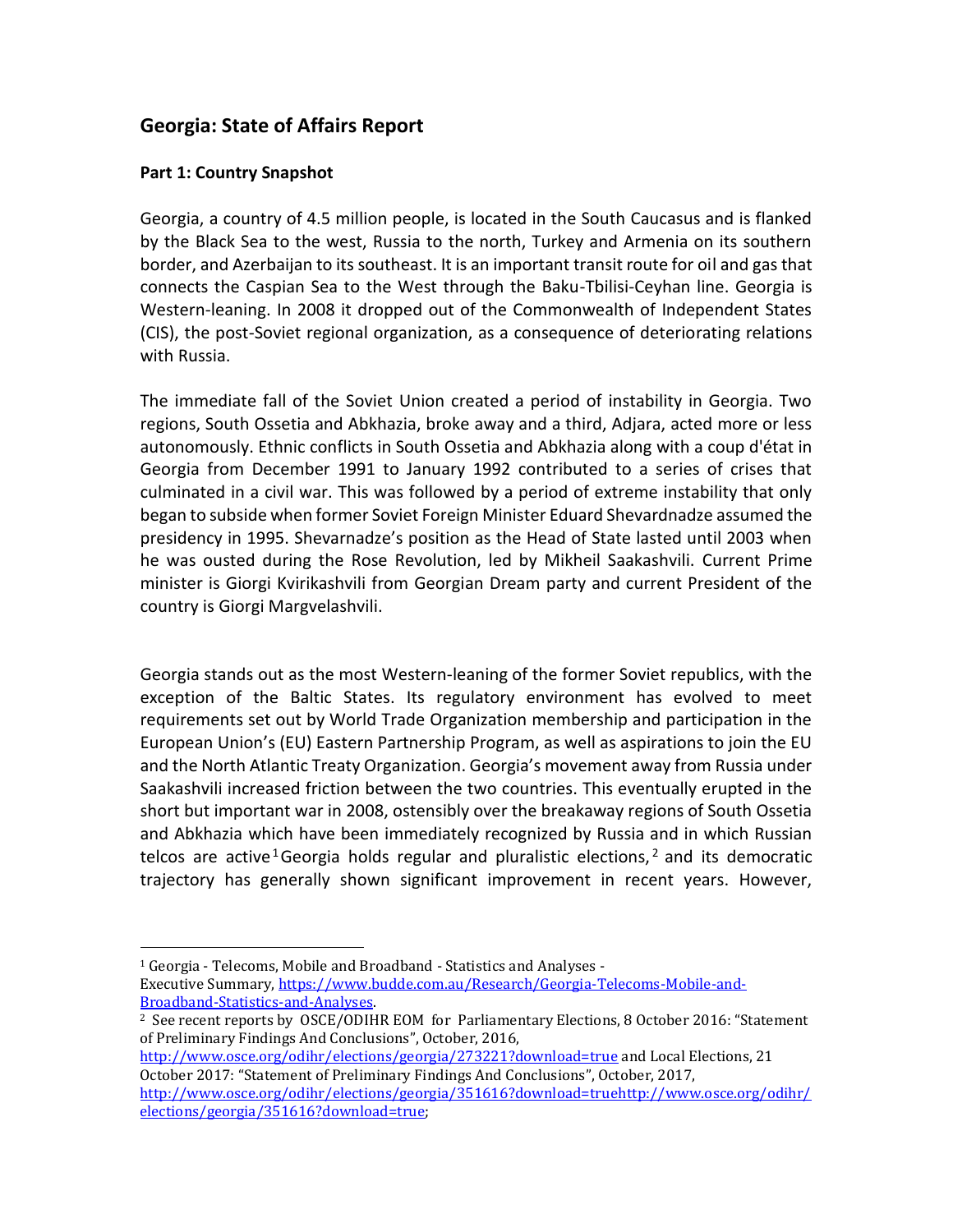# **Georgia: State of Affairs Report**

#### **Part 1: Country Snapshot**

 $\overline{a}$ 

Georgia, a country of 4.5 million people, is located in the South Caucasus and is flanked by the Black Sea to the west, Russia to the north, Turkey and Armenia on its southern border, and Azerbaijan to its southeast. It is an important transit route for oil and gas that connects the Caspian Sea to the West through the Baku-Tbilisi-Ceyhan line. Georgia is Western-leaning. In 2008 it dropped out of the Commonwealth of Independent States (CIS), the post-Soviet regional organization, as a consequence of deteriorating relations with Russia.

The immediate fall of the Soviet Union created a period of instability in Georgia. Two regions, South Ossetia and Abkhazia, broke away and a third, Adjara, acted more or less autonomously. Ethnic conflicts in South Ossetia and Abkhazia along with a coup d'état in Georgia from December 1991 to January 1992 contributed to a series of crises that culminated in a civil war. This was followed by a period of extreme instability that only began to subside when former Soviet Foreign Minister Eduard Shevardnadze assumed the presidency in 1995. Shevarnadze's position as the Head of State lasted until 2003 when he was ousted during the Rose Revolution, led by Mikheil Saakashvili. Current Prime minister is Giorgi Kvirikashvili from Georgian Dream party and current President of the country is Giorgi Margvelashvili.

Georgia stands out as the most Western-leaning of the former Soviet republics, with the exception of the Baltic States. Its regulatory environment has evolved to meet requirements set out by World Trade Organization membership and participation in the European Union's (EU) Eastern Partnership Program, as well as aspirations to join the EU and the North Atlantic Treaty Organization. Georgia's movement away from Russia under Saakashvili increased friction between the two countries. This eventually erupted in the short but important war in 2008, ostensibly over the breakaway regions of South Ossetia and Abkhazia which have been immediately recognized by Russia and in which Russian telcos are active <sup>1</sup> Georgia holds regular and pluralistic elections,  $2$  and its democratic trajectory has generally shown significant improvement in recent years. However,

<http://www.osce.org/odihr/elections/georgia/273221?download=true> and Local Elections, 21 October 2017: "Statement of Preliminary Findings And Conclusions", October, 2017, [http://www.osce.org/odihr/elections/georgia/351616?download=truehttp://www.osce.org/odihr/](http://www.osce.org/odihr/elections/georgia/351616?download=true) [elections/georgia/351616?download=true;](http://www.osce.org/odihr/elections/georgia/351616?download=true)

<sup>1</sup> Georgia - Telecoms, Mobile and Broadband - Statistics and Analyses - Executive Summary, [https://www.budde.com.au/Research/Georgia-Telecoms-Mobile-and-](https://www.budde.com.au/Research/Georgia-Telecoms-Mobile-and-Broadband-Statistics-and-Analyses)[Broadband-Statistics-and-Analyses.](https://www.budde.com.au/Research/Georgia-Telecoms-Mobile-and-Broadband-Statistics-and-Analyses) 

<sup>2</sup> See recent reports by OSCE/ODIHR EOM for Parliamentary Elections, 8 October 2016: "Statement of Preliminary Findings And Conclusions", October, 2016,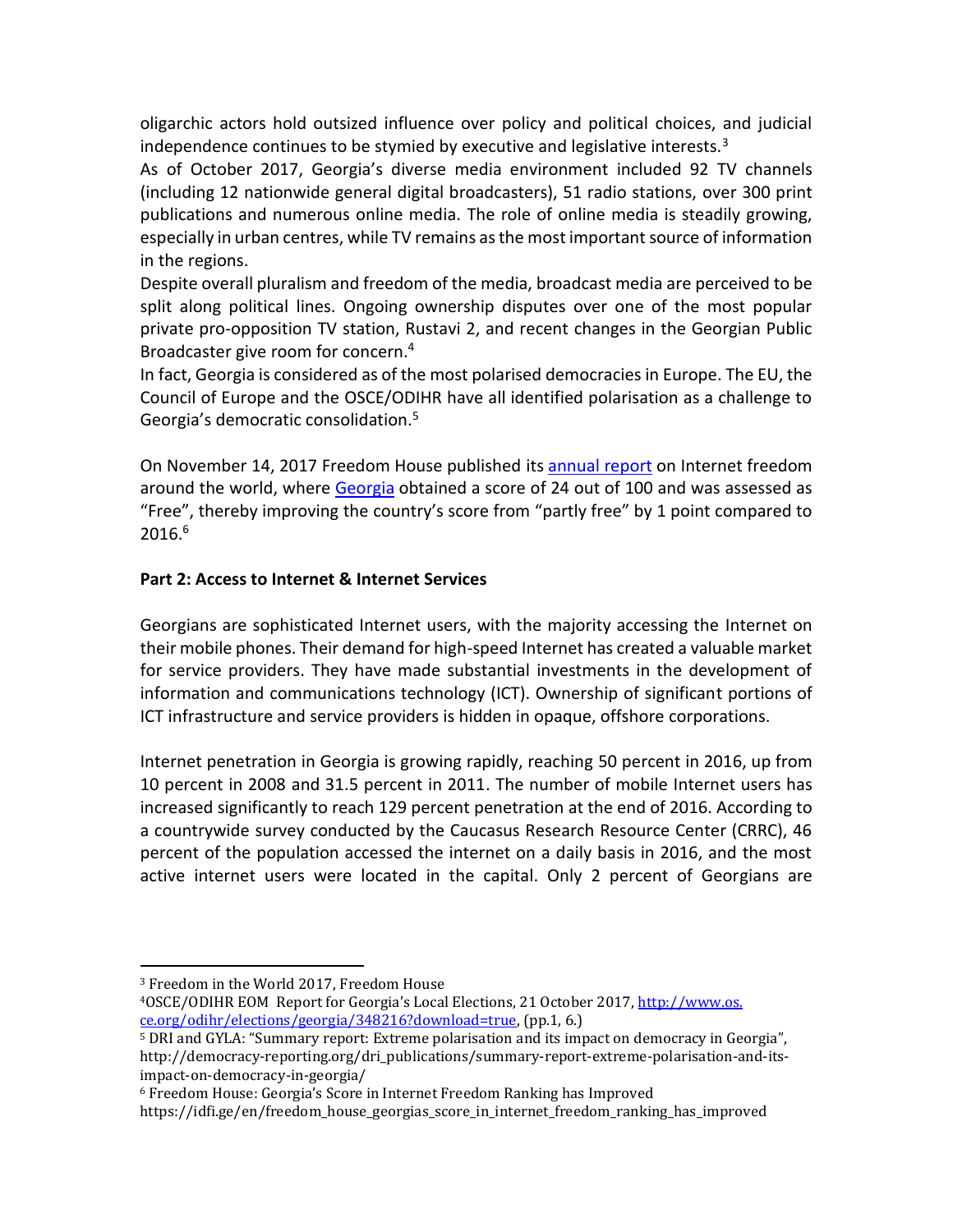oligarchic actors hold outsized influence over policy and political choices, and judicial independence continues to be stymied by executive and legislative interests. $3$ 

As of October 2017, Georgia's diverse media environment included 92 TV channels (including 12 nationwide general digital broadcasters), 51 radio stations, over 300 print publications and numerous online media. The role of online media is steadily growing, especially in urban centres, while TV remains as the most important source of information in the regions.

Despite overall pluralism and freedom of the media, broadcast media are perceived to be split along political lines. Ongoing ownership disputes over one of the most popular private pro-opposition TV station, Rustavi 2, and recent changes in the Georgian Public Broadcaster give room for concern.<sup>4</sup>

In fact, Georgia is considered as of the most polarised democracies in Europe. The EU, the Council of Europe and the OSCE/ODIHR have all identified polarisation as a challenge to Georgia's democratic consolidation.<sup>5</sup>

On November 14, 2017 Freedom House published its [annual report](https://freedomhouse.org/report/freedom-net/freedom-net-2017) on Internet freedom around the world, where [Georgia](https://freedomhouse.org/report/freedom-net/2017/georgia) obtained a score of 24 out of 100 and was assessed as "Free", thereby improving the country's score from "partly free" by 1 point compared to  $2016.<sup>6</sup>$ 

## **Part 2: Access to Internet & Internet Services**

Georgians are sophisticated Internet users, with the majority accessing the Internet on their mobile phones. Their demand for high-speed Internet has created a valuable market for service providers. They have made substantial investments in the development of information and communications technology (ICT). Ownership of significant portions of ICT infrastructure and service providers is hidden in opaque, offshore corporations.

Internet penetration in Georgia is growing rapidly, reaching 50 percent in 2016, up from 10 percent in 2008 and 31.5 percent in 2011. The number of mobile Internet users has increased significantly to reach 129 percent penetration at the end of 2016. According to a countrywide survey conducted by the Caucasus Research Resource Center (CRRC), 46 percent of the population accessed the internet on a daily basis in 2016, and the most active internet users were located in the capital. Only 2 percent of Georgians are

 $\overline{a}$ <sup>3</sup> Freedom in the World 2017, Freedom House

<sup>4</sup>OSCE/ODIHR EOM Report for Georgia's Local Elections, 21 October 2017, http://www.os. ce.org/odihr/elections/georgia/348216?download=true, (pp.1, 6.)

<sup>5</sup> DRI and GYLA: "Summary report: Extreme polarisation and its impact on democracy in Georgia", http://democracy-reporting.org/dri\_publications/summary-report-extreme-polarisation-and-itsimpact-on-democracy-in-georgia/

<sup>6</sup> Freedom House: Georgia's Score in Internet Freedom Ranking has Improved

https://idfi.ge/en/freedom\_house\_georgias\_score\_in\_internet\_freedom\_ranking\_has\_improved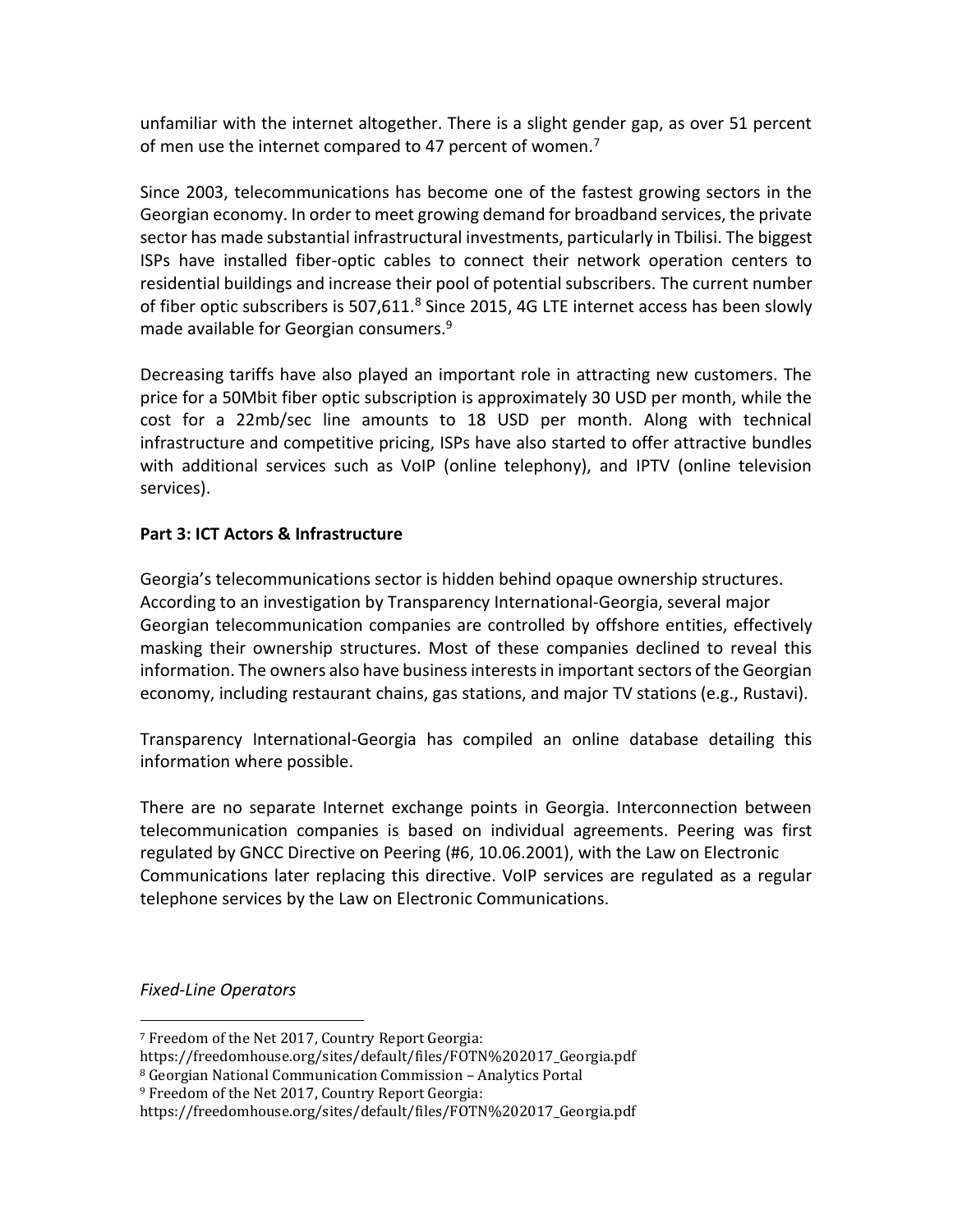unfamiliar with the internet altogether. There is a slight gender gap, as over 51 percent of men use the internet compared to 47 percent of women.<sup>7</sup>

Since 2003, telecommunications has become one of the fastest growing sectors in the Georgian economy. In order to meet growing demand for broadband services, the private sector has made substantial infrastructural investments, particularly in Tbilisi. The biggest ISPs have installed fiber-optic cables to connect their network operation centers to residential buildings and increase their pool of potential subscribers. The current number of fiber optic subscribers is 507,611.<sup>8</sup> Since 2015, 4G LTE internet access has been slowly made available for Georgian consumers.<sup>9</sup>

Decreasing tariffs have also played an important role in attracting new customers. The price for a 50Mbit fiber optic subscription is approximately 30 USD per month, while the cost for a 22mb/sec line amounts to 18 USD per month. Along with technical infrastructure and competitive pricing, ISPs have also started to offer attractive bundles with additional services such as VoIP (online telephony), and IPTV (online television services).

# **Part 3: ICT Actors & Infrastructure**

Georgia's telecommunications sector is hidden behind opaque ownership structures. According to an investigation by Transparency International-Georgia, several major Georgian telecommunication companies are controlled by offshore entities, effectively masking their ownership structures. Most of these companies declined to reveal this information. The owners also have business interests in important sectors of the Georgian economy, including restaurant chains, gas stations, and major TV stations (e.g., Rustavi).

Transparency International-Georgia has compiled an online database detailing this information where possible.

There are no separate Internet exchange points in Georgia. Interconnection between telecommunication companies is based on individual agreements. Peering was first regulated by GNCC Directive on Peering (#6, 10.06.2001), with the Law on Electronic Communications later replacing this directive. VoIP services are regulated as a regular telephone services by the Law on Electronic Communications.

*Fixed-Line Operators*

l

<sup>7</sup> Freedom of the Net 2017, Country Report Georgia:

https://freedomhouse.org/sites/default/files/FOTN%202017\_Georgia.pdf

<sup>8</sup> Georgian National Communication Commission – Analytics Portal

<sup>9</sup> Freedom of the Net 2017, Country Report Georgia:

https://freedomhouse.org/sites/default/files/FOTN%202017\_Georgia.pdf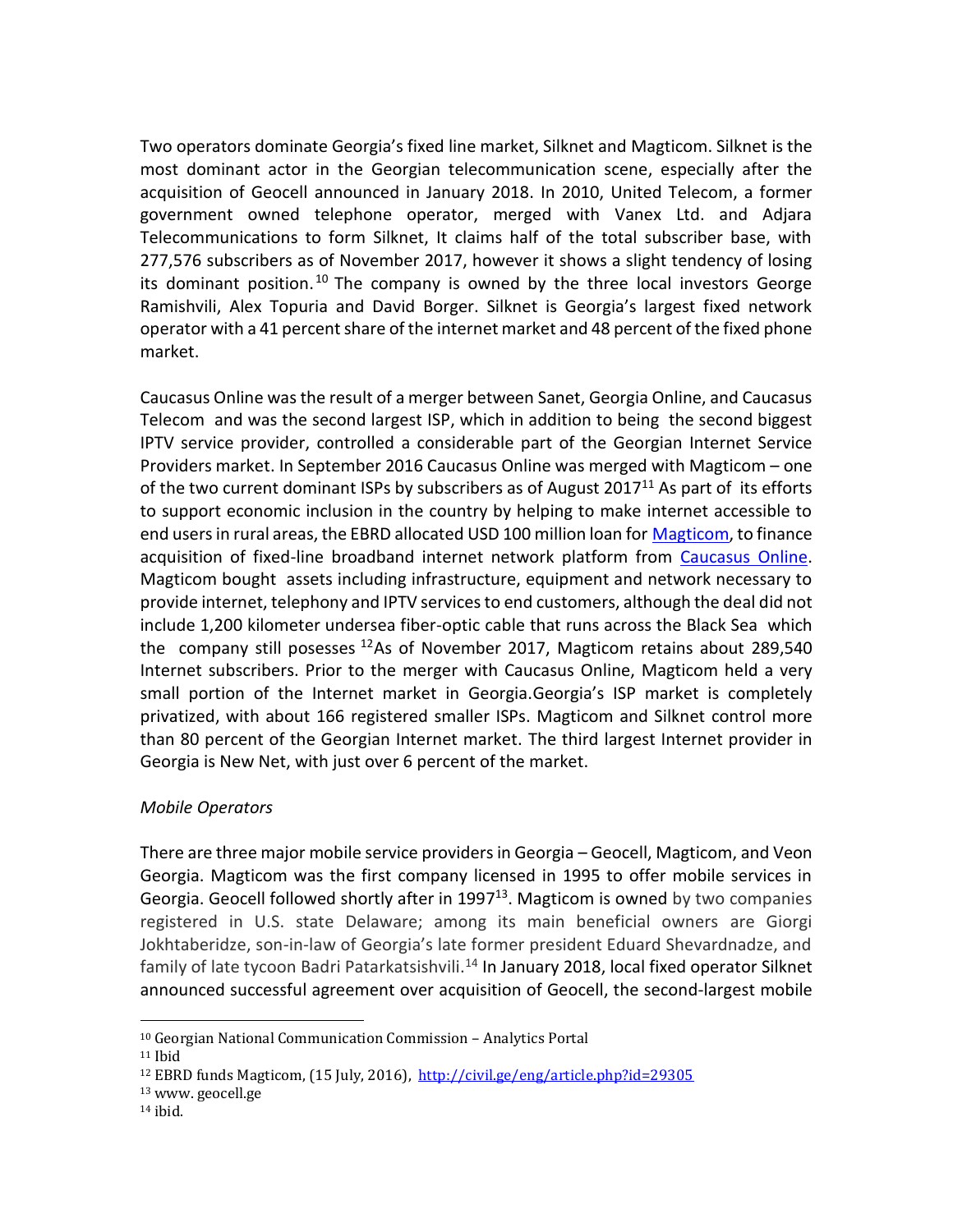Two operators dominate Georgia's fixed line market, Silknet and Magticom. Silknet is the most dominant actor in the Georgian telecommunication scene, especially after the acquisition of Geocell announced in January 2018. In 2010, United Telecom, a former government owned telephone operator, merged with Vanex Ltd. and Adjara Telecommunications to form Silknet, It claims half of the total subscriber base, with 277,576 subscribers as of November 2017, however it shows a slight tendency of losing its dominant position.<sup>10</sup> The company is owned by the three local investors George Ramishvili, Alex Topuria and David Borger. Silknet is Georgia's largest fixed network operator with a 41 percent share of the internet market and 48 percent of the fixed phone market.

Caucasus Online was the result of a merger between Sanet, Georgia Online, and Caucasus Telecom and was the second largest ISP, which in addition to being the second biggest IPTV service provider, controlled a considerable part of the Georgian Internet Service Providers market. In September 2016 Caucasus Online was merged with Magticom – one of the two current dominant ISPs by subscribers as of August 2017 $11$  As part of its efforts to support economic inclusion in the country by helping to make internet accessible to end users in rural areas, the EBRD allocated USD 100 million loan for [Magticom,](http://magticom.ge/index.php?section=8&lang=eng) to finance acquisition of fixed-line broadband internet network platform from [Caucasus Online.](http://www.co.ge/en/) Magticom bought assets including infrastructure, equipment and network necessary to provide internet, telephony and IPTV services to end customers, although the deal did not include 1,200 kilometer undersea fiber-optic cable that runs across the Black Sea which the company still posesses  $12$ As of November 2017, Magticom retains about 289,540 Internet subscribers. Prior to the merger with Caucasus Online, Magticom held a very small portion of the Internet market in Georgia.Georgia's ISP market is completely privatized, with about 166 registered smaller ISPs. Magticom and Silknet control more than 80 percent of the Georgian Internet market. The third largest Internet provider in Georgia is New Net, with just over 6 percent of the market.

# *Mobile Operators*

There are three major mobile service providers in Georgia – Geocell, Magticom, and Veon Georgia. Magticom was the first company licensed in 1995 to offer mobile services in Georgia. Geocell followed shortly after in 1997<sup>13</sup>. Magticom is owned by two companies registered in U.S. state Delaware; among its main beneficial owners are Giorgi Jokhtaberidze, son-in-law of Georgia's late former president Eduard Shevardnadze, and family of late tycoon Badri Patarkatsishvili.<sup>14</sup> In January 2018, local fixed operator Silknet announced successful agreement over acquisition of Geocell, the second-largest mobile

l

<sup>10</sup> Georgian National Communication Commission – Analytics Portal

<sup>11</sup> Ibid

<sup>12</sup> EBRD funds Magticom, (15 July, 2016), <http://civil.ge/eng/article.php?id=29305>

<sup>13</sup> www. geocell.ge

 $14$  ibid.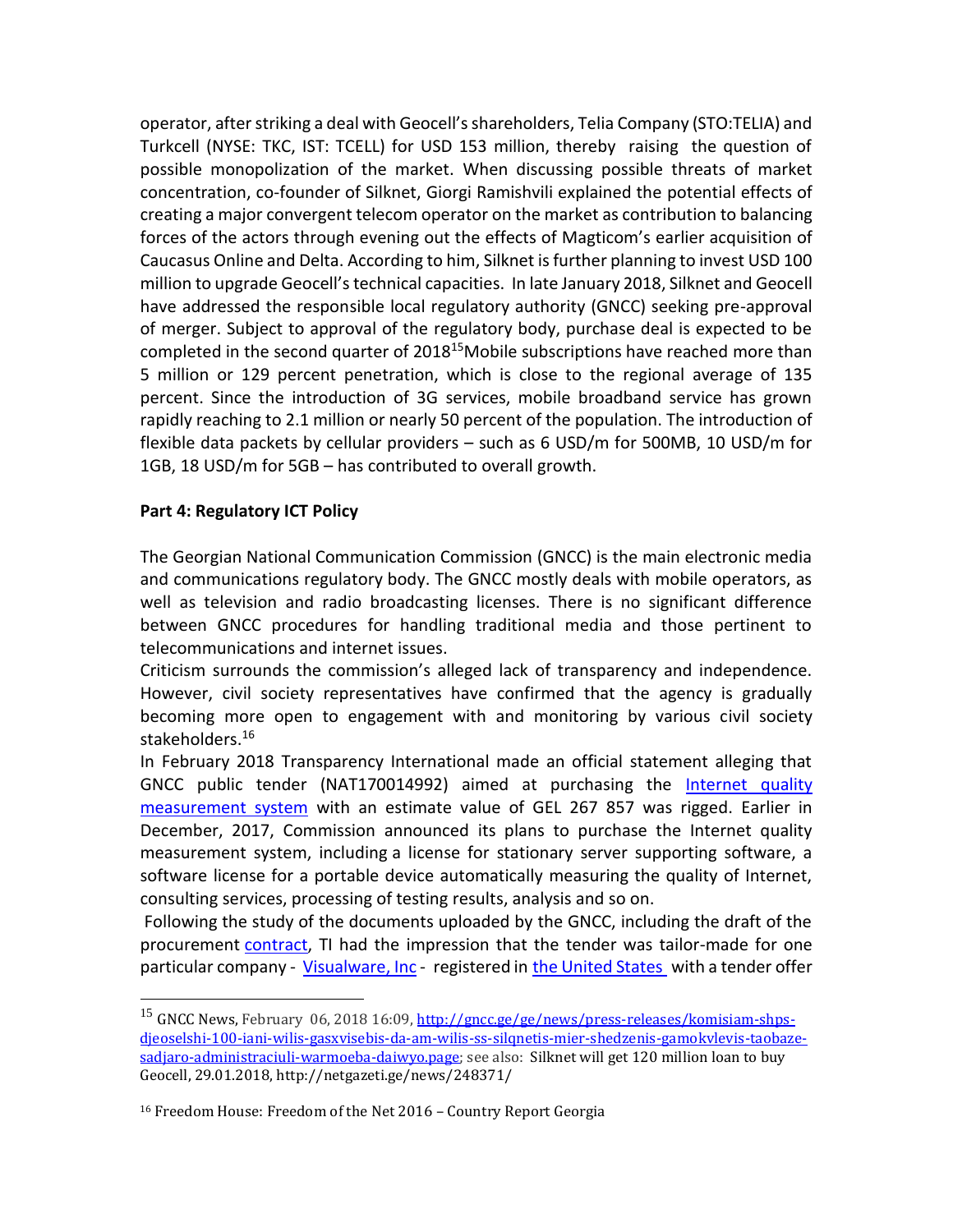operator, after striking a deal with Geocell's shareholders, Telia Company (STO:TELIA) and Turkcell (NYSE: TKC, IST: TCELL) for USD 153 million, thereby raising the question of possible monopolization of the market. When discussing possible threats of market concentration, co-founder of Silknet, Giorgi Ramishvili explained the potential effects of creating a major convergent telecom operator on the market as contribution to balancing forces of the actors through evening out the effects of Magticom's earlier acquisition of Caucasus Online and Delta. According to him, Silknet is further planning to invest USD 100 million to upgrade Geocell's technical capacities. In late January 2018, Silknet and Geocell have addressed the responsible local regulatory authority (GNCC) seeking pre-approval of merger. Subject to approval of the regulatory body, purchase deal is expected to be completed in the second quarter of 2018<sup>15</sup>Mobile subscriptions have reached more than 5 million or 129 percent penetration, which is close to the regional average of 135 percent. Since the introduction of 3G services, mobile broadband service has grown rapidly reaching to 2.1 million or nearly 50 percent of the population. The introduction of flexible data packets by cellular providers – such as 6 USD/m for 500MB, 10 USD/m for 1GB, 18 USD/m for 5GB – has contributed to overall growth.

#### **Part 4: Regulatory ICT Policy**

 $\overline{a}$ 

The Georgian National Communication Commission (GNCC) is the main electronic media and communications regulatory body. The GNCC mostly deals with mobile operators, as well as television and radio broadcasting licenses. There is no significant difference between GNCC procedures for handling traditional media and those pertinent to telecommunications and internet issues.

Criticism surrounds the commission's alleged lack of transparency and independence. However, civil society representatives have confirmed that the agency is gradually becoming more open to engagement with and monitoring by various civil society stakeholders.<sup>16</sup>

In February 2018 Transparency International made an official statement alleging that GNCC public tender (NAT170014992) aimed at purchasing the [Internet](https://tenders.procurement.gov.ge/public/?go=251364&lang=ge) quality [measurement system](https://tenders.procurement.gov.ge/public/?go=251364&lang=ge) with an estimate value of GEL 267 857 was rigged. Earlier in December, 2017, Commission announced its plans to purchase the Internet quality measurement system, including a license for stationary server supporting software, a software license for a portable device automatically measuring the quality of Internet, consulting services, processing of testing results, analysis and so on.

Following the study of the documents uploaded by the GNCC, including the draft of the procurement [contract,](https://tenders.procurement.gov.ge/public/library/files.php?mode=que&file=209607&code=1513603295) TI had the impression that the tender was tailor-made for one particular company - [Visualware, Inc](https://tenders.procurement.gov.ge/public/?go=251364&lang=ge) - registered in [the United States](https://www.bloomberg.com/profiles/companies/0003383D:US-visualware-inc) with a tender offer

<sup>&</sup>lt;sup>15</sup> GNCC News, February 06, 2018 16:09, [http://gncc.ge/ge/news/press-releases/komisiam-shps](http://gncc.ge/ge/news/press-releases/komisiam-shps-djeoselshi-100-iani-wilis-gasxvisebis-da-am-wilis-ss-silqnetis-mier-shedzenis-gamokvlevis-taobaze-sadjaro-administraciuli-warmoeba-daiwyo.page)[djeoselshi-100-iani-wilis-gasxvisebis-da-am-wilis-ss-silqnetis-mier-shedzenis-gamokvlevis-taobaze](http://gncc.ge/ge/news/press-releases/komisiam-shps-djeoselshi-100-iani-wilis-gasxvisebis-da-am-wilis-ss-silqnetis-mier-shedzenis-gamokvlevis-taobaze-sadjaro-administraciuli-warmoeba-daiwyo.page)sadiaro-administraciuli-warmoeba-daiwyo.page; see also: Silknet will get 120 million loan to buy Geocell, 29.01.2018, http://netgazeti.ge/news/248371/

<sup>16</sup> Freedom House: Freedom of the Net 2016 – Country Report Georgia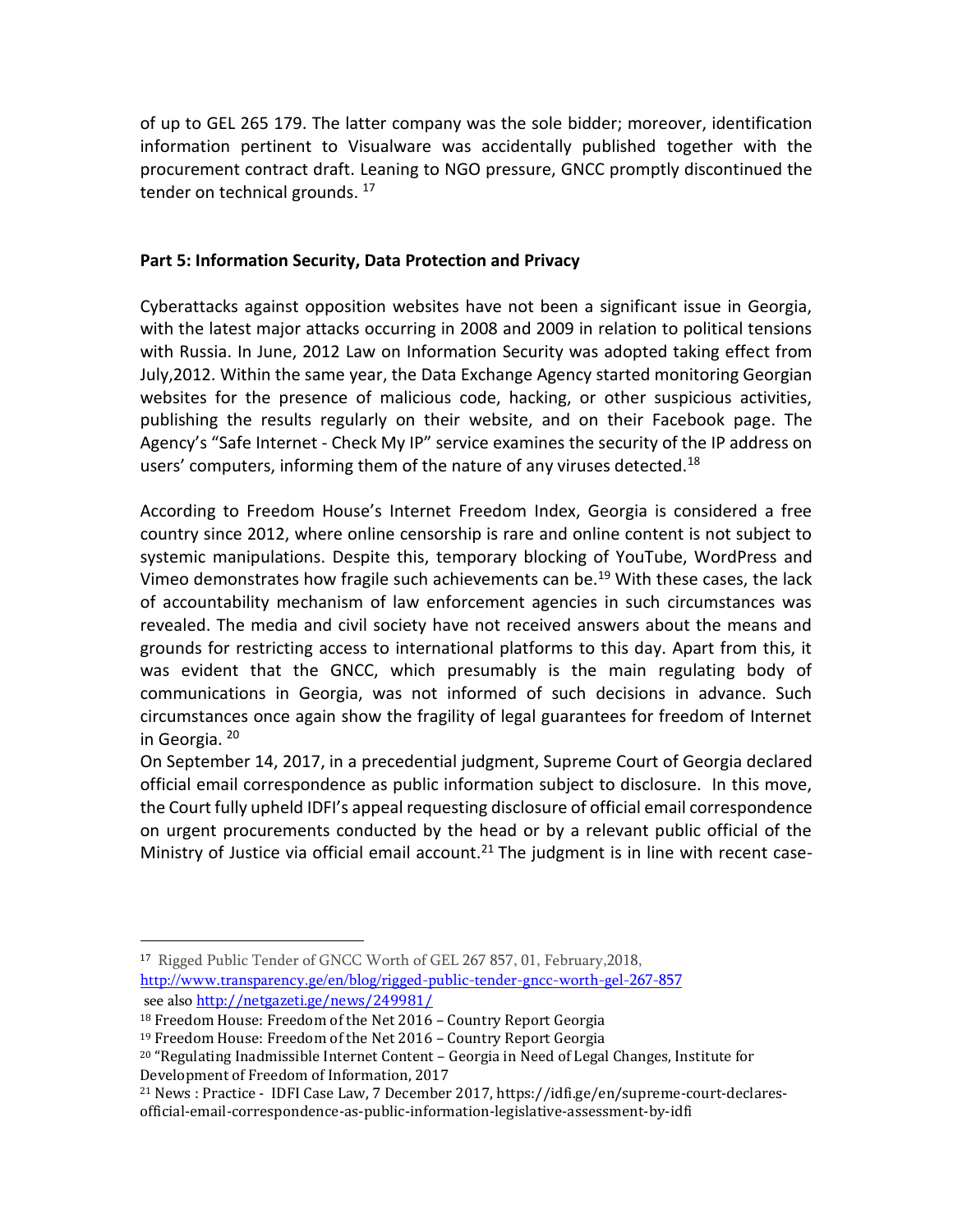of up to GEL 265 179. The latter company was the sole bidder; moreover, identification information pertinent to Visualware was accidentally published together with the procurement contract draft. Leaning to NGO pressure, GNCC promptly discontinued the tender on technical grounds. <sup>17</sup>

## **Part 5: Information Security, Data Protection and Privacy**

Cyberattacks against opposition websites have not been a significant issue in Georgia, with the latest major attacks occurring in 2008 and 2009 in relation to political tensions with Russia. In June, 2012 Law on Information Security was adopted taking effect from July,2012. Within the same year, the Data Exchange Agency started monitoring Georgian websites for the presence of malicious code, hacking, or other suspicious activities, publishing the results regularly on their website, and on their Facebook page. The Agency's "Safe Internet - Check My IP" service examines the security of the IP address on users' computers, informing them of the nature of any viruses detected.<sup>18</sup>

According to Freedom House's Internet Freedom Index, Georgia is considered a free country since 2012, where online censorship is rare and online content is not subject to systemic manipulations. Despite this, temporary blocking of YouTube, WordPress and Vimeo demonstrates how fragile such achievements can be.<sup>19</sup> With these cases, the lack of accountability mechanism of law enforcement agencies in such circumstances was revealed. The media and civil society have not received answers about the means and grounds for restricting access to international platforms to this day. Apart from this, it was evident that the GNCC, which presumably is the main regulating body of communications in Georgia, was not informed of such decisions in advance. Such circumstances once again show the fragility of legal guarantees for freedom of Internet in Georgia. <sup>20</sup>

On September 14, 2017, in a precedential judgment, Supreme Court of Georgia declared official email correspondence as public information subject to disclosure. In this move, the Court fully upheld IDFI's appeal requesting disclosure of official email correspondence on urgent procurements conducted by the head or by a relevant public official of the Ministry of Justice via official email account.<sup>21</sup> The judgment is in line with recent case-

 $\overline{a}$ 

<sup>17</sup> Rigged Public Tender of GNCC Worth of GEL 267 857, 01, February,2018, <http://www.transparency.ge/en/blog/rigged-public-tender-gncc-worth-gel-267-857> see also <http://netgazeti.ge/news/249981/>

<sup>18</sup> Freedom House: Freedom of the Net 2016 – Country Report Georgia

<sup>19</sup> Freedom House: Freedom of the Net 2016 – Country Report Georgia

<sup>20</sup> "Regulating Inadmissible Internet Content – Georgia in Need of Legal Changes, Institute for Development of Freedom of Information, 2017

<sup>21</sup> News : Practice - IDFI Case Law, 7 December 2017, https://idfi.ge/en/supreme-court-declaresofficial-email-correspondence-as-public-information-legislative-assessment-by-idfi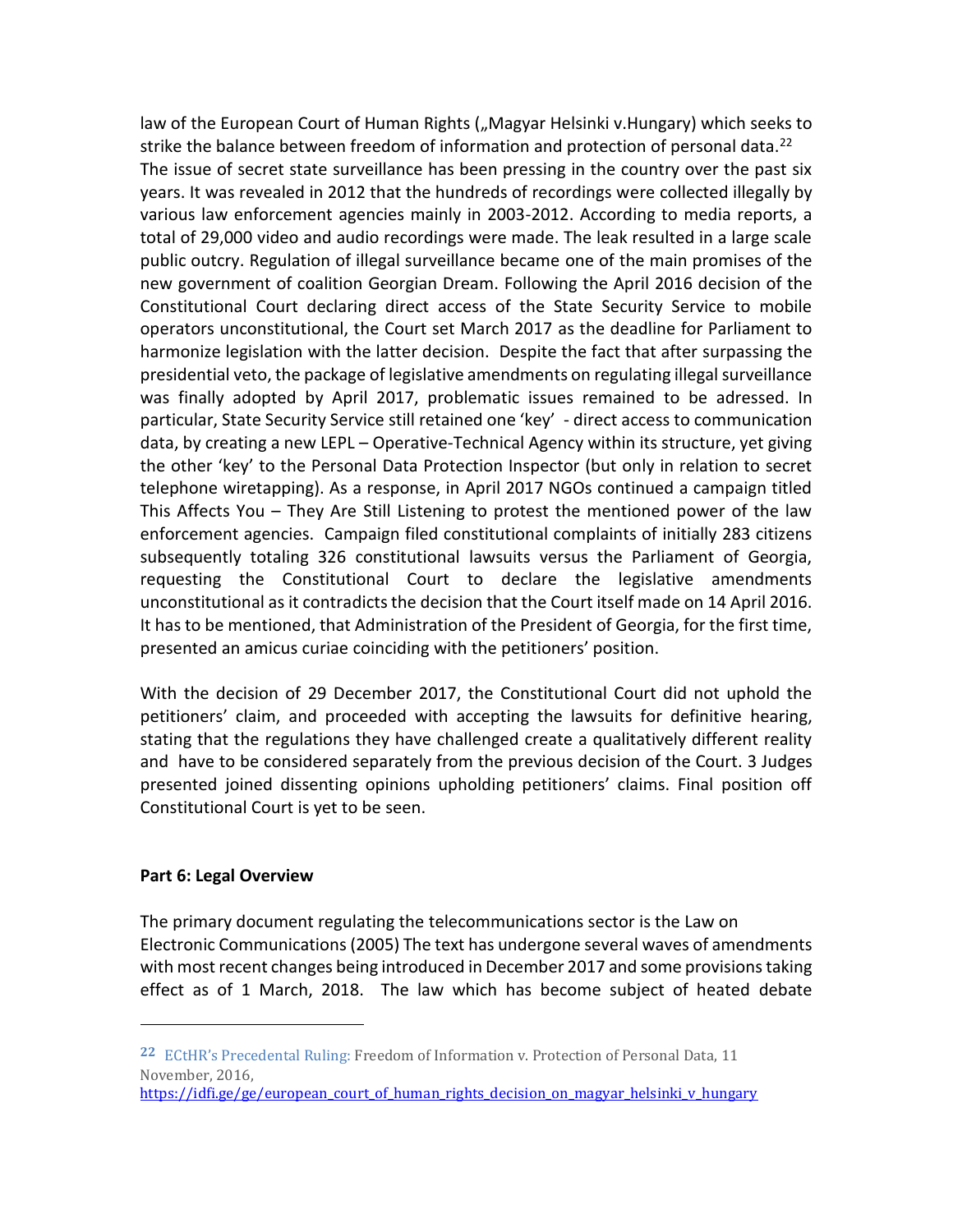law of the European Court of Human Rights ("Magyar Helsinki v.Hungary) which seeks to strike the balance between freedom of information and protection of personal data.<sup>22</sup> The issue of secret state surveillance has been pressing in the country over the past six years. It was revealed in 2012 that the hundreds of recordings were collected illegally by various law enforcement agencies mainly in 2003-2012. According to media reports, a total of 29,000 video and audio recordings were made. The leak resulted in a large scale public outcry. Regulation of illegal surveillance became one of the main promises of the new government of coalition Georgian Dream. Following the April 2016 decision of the Constitutional Court declaring direct access of the State Security Service to mobile operators unconstitutional, the Court set March 2017 as the deadline for Parliament to harmonize legislation with the latter decision. Despite the fact that after surpassing the presidential veto, the package of legislative amendments on regulating illegal surveillance was finally adopted by April 2017, problematic issues remained to be adressed. In particular, State Security Service still retained one 'key' - direct access to communication data, by creating a new LEPL – Operative-Technical Agency within its structure, yet giving the other 'key' to the Personal Data Protection Inspector (but only in relation to secret telephone wiretapping). As a response, in April 2017 NGOs continued a campaign titled This Affects You – They Are Still Listening to protest the mentioned power of the law enforcement agencies. Campaign filed constitutional complaints of initially 283 citizens subsequently totaling 326 constitutional lawsuits versus the Parliament of Georgia, requesting the Constitutional Court to declare the legislative amendments unconstitutional as it contradicts the decision that the Court itself made on 14 April 2016. It has to be mentioned, that Administration of the President of Georgia, for the first time, presented an amicus curiae coinciding with the petitioners' position.

With the decision of 29 December 2017, the Constitutional Court did not uphold the petitioners' claim, and proceeded with accepting the lawsuits for definitive hearing, stating that the regulations they have challenged create a qualitatively different reality and have to be considered separately from the previous decision of the Court. 3 Judges presented joined dissenting opinions upholding petitioners' claims. Final position off Constitutional Court is yet to be seen.

#### **Part 6: Legal Overview**

l

The primary document regulating the telecommunications sector is the Law on Electronic Communications (2005) The text has undergone several waves of amendments with most recent changes being introduced in December 2017 and some provisions taking effect as of 1 March, 2018. The law which has become subject of heated debate

**<sup>22</sup>** ECtHR's Precedental Ruling: Freedom of Information v. Protection of Personal Data, 11 November, 2016,

[https://idfi.ge/ge/european\\_court\\_of\\_human\\_rights\\_decision\\_on\\_magyar\\_helsinki\\_v\\_hungary](https://idfi.ge/ge/european_court_of_human_rights_decision_on_magyar_helsinki_v_hungary)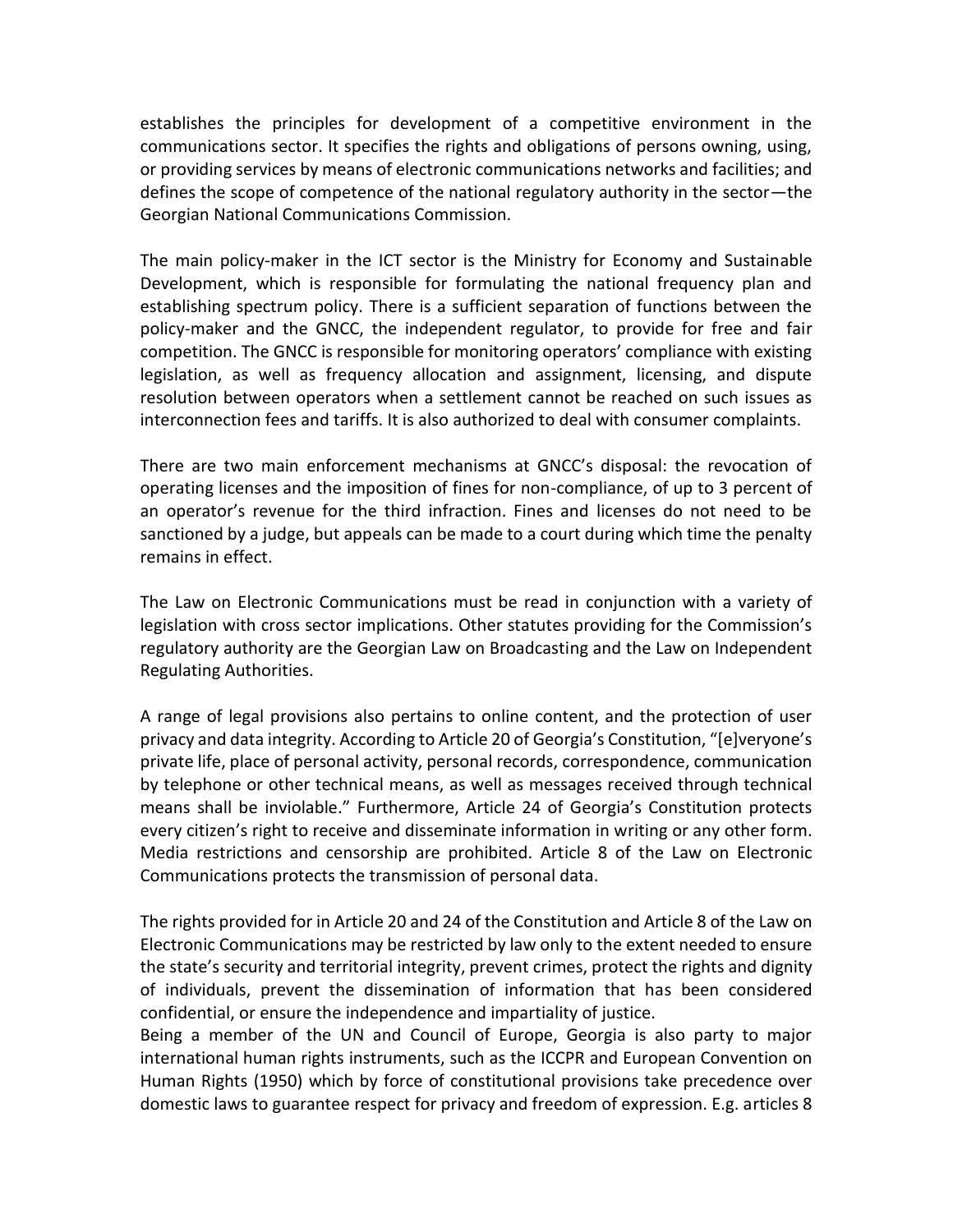establishes the principles for development of a competitive environment in the communications sector. It specifies the rights and obligations of persons owning, using, or providing services by means of electronic communications networks and facilities; and defines the scope of competence of the national regulatory authority in the sector—the Georgian National Communications Commission.

The main policy-maker in the ICT sector is the Ministry for Economy and Sustainable Development, which is responsible for formulating the national frequency plan and establishing spectrum policy. There is a sufficient separation of functions between the policy-maker and the GNCC, the independent regulator, to provide for free and fair competition. The GNCC is responsible for monitoring operators' compliance with existing legislation, as well as frequency allocation and assignment, licensing, and dispute resolution between operators when a settlement cannot be reached on such issues as interconnection fees and tariffs. It is also authorized to deal with consumer complaints.

There are two main enforcement mechanisms at GNCC's disposal: the revocation of operating licenses and the imposition of fines for non-compliance, of up to 3 percent of an operator's revenue for the third infraction. Fines and licenses do not need to be sanctioned by a judge, but appeals can be made to a court during which time the penalty remains in effect.

The Law on Electronic Communications must be read in conjunction with a variety of legislation with cross sector implications. Other statutes providing for the Commission's regulatory authority are the Georgian Law on Broadcasting and the Law on Independent Regulating Authorities.

A range of legal provisions also pertains to online content, and the protection of user privacy and data integrity. According to Article 20 of Georgia's Constitution, "[e]veryone's private life, place of personal activity, personal records, correspondence, communication by telephone or other technical means, as well as messages received through technical means shall be inviolable." Furthermore, Article 24 of Georgia's Constitution protects every citizen's right to receive and disseminate information in writing or any other form. Media restrictions and censorship are prohibited. Article 8 of the Law on Electronic Communications protects the transmission of personal data.

The rights provided for in Article 20 and 24 of the Constitution and Article 8 of the Law on Electronic Communications may be restricted by law only to the extent needed to ensure the state's security and territorial integrity, prevent crimes, protect the rights and dignity of individuals, prevent the dissemination of information that has been considered confidential, or ensure the independence and impartiality of justice.

Being a member of the UN and Council of Europe, Georgia is also party to major international human rights instruments, such as the ICCPR and European Convention on Human Rights (1950) which by force of constitutional provisions take precedence over domestic laws to guarantee respect for privacy and freedom of expression. E.g. articles 8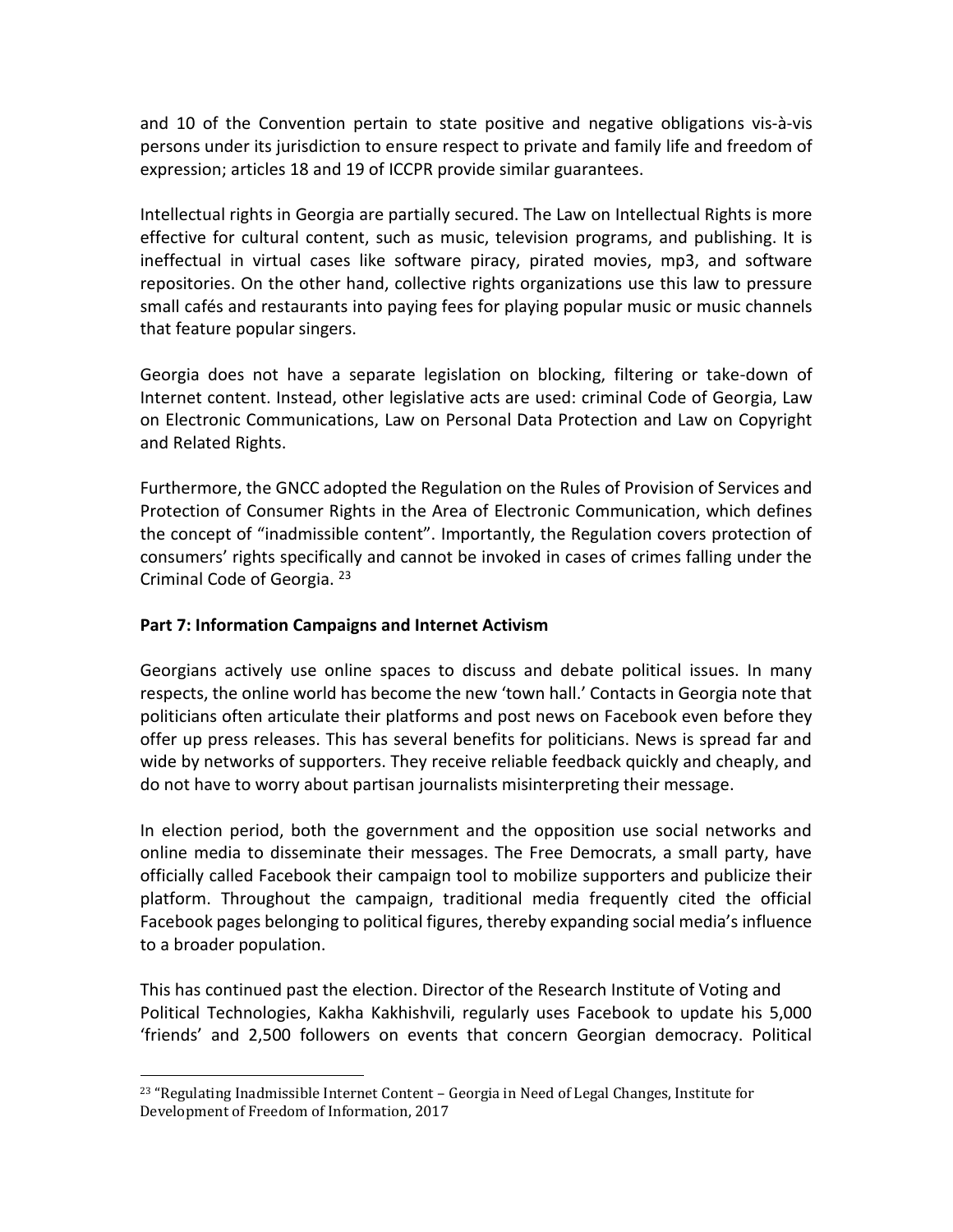and 10 of the Convention pertain to state positive and negative obligations vis-à-vis persons under its jurisdiction to ensure respect to private and family life and freedom of expression; articles 18 and 19 of ICCPR provide similar guarantees.

Intellectual rights in Georgia are partially secured. The Law on Intellectual Rights is more effective for cultural content, such as music, television programs, and publishing. It is ineffectual in virtual cases like software piracy, pirated movies, mp3, and software repositories. On the other hand, collective rights organizations use this law to pressure small cafés and restaurants into paying fees for playing popular music or music channels that feature popular singers.

Georgia does not have a separate legislation on blocking, filtering or take-down of Internet content. Instead, other legislative acts are used: criminal Code of Georgia, Law on Electronic Communications, Law on Personal Data Protection and Law on Copyright and Related Rights.

Furthermore, the GNCC adopted the Regulation on the Rules of Provision of Services and Protection of Consumer Rights in the Area of Electronic Communication, which defines the concept of "inadmissible content". Importantly, the Regulation covers protection of consumers' rights specifically and cannot be invoked in cases of crimes falling under the Criminal Code of Georgia. <sup>23</sup>

# **Part 7: Information Campaigns and Internet Activism**

 $\overline{a}$ 

Georgians actively use online spaces to discuss and debate political issues. In many respects, the online world has become the new 'town hall.' Contacts in Georgia note that politicians often articulate their platforms and post news on Facebook even before they offer up press releases. This has several benefits for politicians. News is spread far and wide by networks of supporters. They receive reliable feedback quickly and cheaply, and do not have to worry about partisan journalists misinterpreting their message.

In election period, both the government and the opposition use social networks and online media to disseminate their messages. The Free Democrats, a small party, have officially called Facebook their campaign tool to mobilize supporters and publicize their platform. Throughout the campaign, traditional media frequently cited the official Facebook pages belonging to political figures, thereby expanding social media's influence to a broader population.

This has continued past the election. Director of the Research Institute of Voting and Political Technologies, Kakha Kakhishvili, regularly uses Facebook to update his 5,000 'friends' and 2,500 followers on events that concern Georgian democracy. Political

 $23$  "Regulating Inadmissible Internet Content – Georgia in Need of Legal Changes, Institute for Development of Freedom of Information, 2017